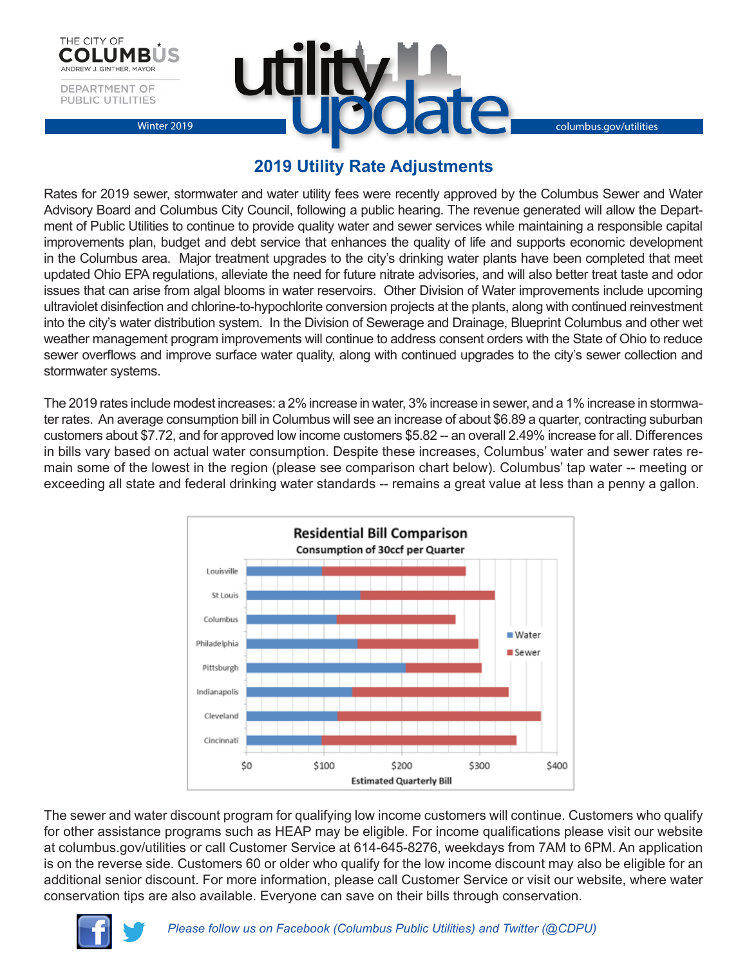



## **2019 Utility Rate Adjustments**

Rates for 2019 sewer, stormwater and water utility fees were recently approved by the Columbus Sewer and Water Advisory Board and Columbus City Council, following a public hearing. The revenue generated will allow the Department of Public Utilities to continue to provide quality water and sewer services while maintaining a responsible capital improvements plan, budget and debt service that enhances the quality of life and supports economic development in the Columbus area. Major treatment upgrades to the city's drinking water plants have been completed that meet updated Ohio EPA regulations, alleviate the need for future nitrate advisories, and will also better treat taste and odor issues that can arise from algal blooms in water reservoirs. Other Division of Water improvements include upcoming ultraviolet disinfection and chlorine-to-hypochlorite conversion projects at the plants, along with continued reinvestment into the city's water distribution system. In the Division of Sewerage and Drainage, Blueprint Columbus and other wet weather management program improvements will continue to address consent orders with the State of Ohio to reduce sewer overflows and improve surface water quality, along with continued upgrades to the city's sewer collection and stormwater systems.

The 2019 rates include modest increases: a 2% increase in water, 3% increase in sewer, and a 1% increase in stormwater rates. An average consumption bill in Columbus will see an increase of about \$6.89 a quarter, contracting suburban customers about \$7.72, and for approved low income customers \$5.82 -- an overall 2.49% increase for all. Differences in bills vary based on actual water consumption. Despite these increases, Columbus' water and sewer rates remain some of the lowest in the region (please see comparison chart below). Columbus' tap water -- meeting or exceeding all state and federal drinking water standards -- remains a great value at less than a penny a gallon.



The sewer and water discount program for qualifying low income customers will continue. Customers who qualify for other assistance programs such as HEAP may be eligible. For income qualifications please visit our website at columbus.gov/utilities or call Customer Service at 614-645-8276, weekdays from 7AM to 6PM. An application is on the reverse side. Customers 60 or older who qualify for the low income discount may also be eligible for an additional senior discount. For more information, please call Customer Service or visit our website, where water conservation tips are also available. Everyone can save on their bills through conservation.